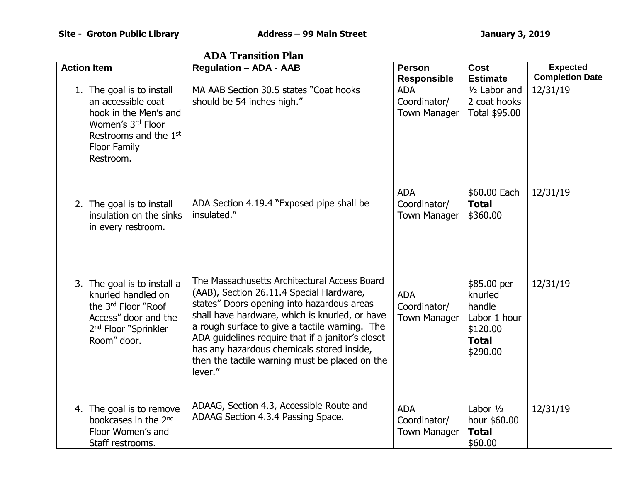| <b>Action Item</b>                                                                                                                                              | <b>Regulation - ADA - AAB</b>                                                                                                                                                                                                                                                                                                                                                                              | <b>Person</b><br><b>Responsible</b>               | Cost<br><b>Estimate</b>                                                                  | <b>Expected</b><br><b>Completion Date</b> |
|-----------------------------------------------------------------------------------------------------------------------------------------------------------------|------------------------------------------------------------------------------------------------------------------------------------------------------------------------------------------------------------------------------------------------------------------------------------------------------------------------------------------------------------------------------------------------------------|---------------------------------------------------|------------------------------------------------------------------------------------------|-------------------------------------------|
| 1. The goal is to install<br>an accessible coat<br>hook in the Men's and<br>Women's 3rd Floor<br>Restrooms and the 1 <sup>st</sup><br>Floor Family<br>Restroom. | MA AAB Section 30.5 states "Coat hooks"<br>should be 54 inches high."                                                                                                                                                                                                                                                                                                                                      | <b>ADA</b><br>Coordinator/<br><b>Town Manager</b> | 1/2 Labor and<br>2 coat hooks<br>Total \$95.00                                           | 12/31/19                                  |
| 2. The goal is to install<br>insulation on the sinks<br>in every restroom.                                                                                      | ADA Section 4.19.4 "Exposed pipe shall be<br>insulated."                                                                                                                                                                                                                                                                                                                                                   | <b>ADA</b><br>Coordinator/<br><b>Town Manager</b> | \$60.00 Each<br><b>Total</b><br>\$360.00                                                 | 12/31/19                                  |
| 3. The goal is to install a<br>knurled handled on<br>the 3rd Floor "Roof<br>Access" door and the<br>2 <sup>nd</sup> Floor "Sprinkler<br>Room" door.             | The Massachusetts Architectural Access Board<br>(AAB), Section 26.11.4 Special Hardware,<br>states" Doors opening into hazardous areas<br>shall have hardware, which is knurled, or have<br>a rough surface to give a tactile warning. The<br>ADA guidelines require that if a janitor's closet<br>has any hazardous chemicals stored inside,<br>then the tactile warning must be placed on the<br>lever." | <b>ADA</b><br>Coordinator/<br><b>Town Manager</b> | \$85.00 per<br>knurled<br>handle<br>Labor 1 hour<br>\$120.00<br><b>Total</b><br>\$290.00 | 12/31/19                                  |
| 4. The goal is to remove<br>bookcases in the 2 <sup>nd</sup><br>Floor Women's and<br>Staff restrooms.                                                           | ADAAG, Section 4.3, Accessible Route and<br>ADAAG Section 4.3.4 Passing Space.                                                                                                                                                                                                                                                                                                                             | <b>ADA</b><br>Coordinator/<br><b>Town Manager</b> | Labor $1/2$<br>hour \$60.00<br><b>Total</b><br>\$60.00                                   | 12/31/19                                  |

 **ADA Transition Plan**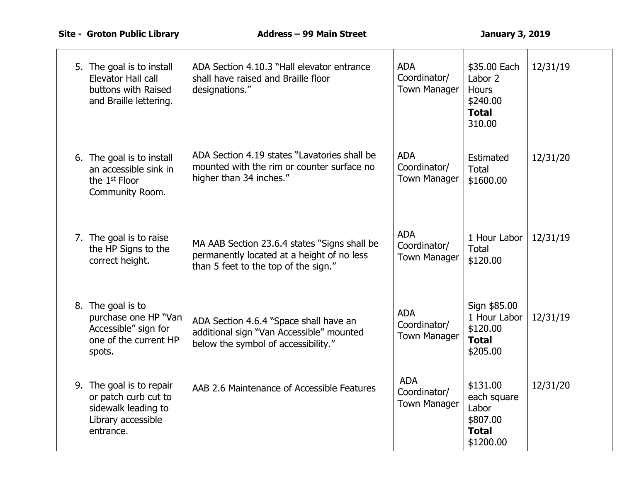| 5. The goal is to install<br>Elevator Hall call<br>buttons with Raised<br>and Braille lettering.           | ADA Section 4.10.3 "Hall elevator entrance<br>shall have raised and Braille floor<br>designations."                                | <b>ADA</b><br>Coordinator/<br><b>Town Manager</b> | \$35.00 Each<br>Labor 2<br>Hours<br>\$240.00<br><b>Total</b><br>310.00    | 12/31/19 |
|------------------------------------------------------------------------------------------------------------|------------------------------------------------------------------------------------------------------------------------------------|---------------------------------------------------|---------------------------------------------------------------------------|----------|
| 6. The goal is to install<br>an accessible sink in<br>the $1st$ Floor<br>Community Room.                   | ADA Section 4.19 states "Lavatories shall be<br>mounted with the rim or counter surface no<br>higher than 34 inches."              | <b>ADA</b><br>Coordinator/<br><b>Town Manager</b> | Estimated<br><b>Total</b><br>\$1600.00                                    | 12/31/20 |
| 7. The goal is to raise<br>the HP Signs to the<br>correct height.                                          | MA AAB Section 23.6.4 states "Signs shall be<br>permanently located at a height of no less<br>than 5 feet to the top of the sign." | <b>ADA</b><br>Coordinator/<br><b>Town Manager</b> | 1 Hour Labor<br><b>Total</b><br>\$120.00                                  | 12/31/19 |
| 8. The goal is to<br>purchase one HP "Van<br>Accessible" sign for<br>one of the current HP<br>spots.       | ADA Section 4.6.4 "Space shall have an<br>additional sign "Van Accessible" mounted<br>below the symbol of accessibility."          | <b>ADA</b><br>Coordinator/<br><b>Town Manager</b> | Sign \$85.00<br>1 Hour Labor<br>\$120.00<br><b>Total</b><br>\$205.00      | 12/31/19 |
| 9. The goal is to repair<br>or patch curb cut to<br>sidewalk leading to<br>Library accessible<br>entrance. | AAB 2.6 Maintenance of Accessible Features                                                                                         | <b>ADA</b><br>Coordinator/<br><b>Town Manager</b> | \$131.00<br>each square<br>Labor<br>\$807.00<br><b>Total</b><br>\$1200.00 | 12/31/20 |